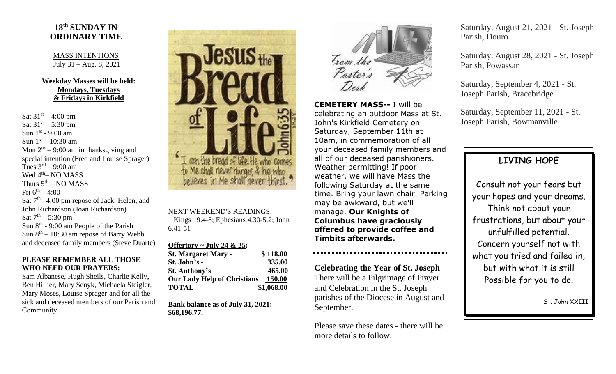## **18 th SUNDAY IN ORDINARY TIME**

MASS INTENTIONS July 31 – Aug. 8, 2021

### **Weekday Masses will be held: Mondays, Tuesdays & Fridays in Kirkfield**

Sat  $31^{st} - 4:00$  pm Sat  $31^{st} - 5:30$  pm Sun  $1<sup>st</sup>$  - 9:00 am Sun  $1<sup>st</sup> - 10:30$  am Mon  $2<sup>nd</sup> - 9:00$  am in thanksgiving and special intention (Fred and Louise Sprager) Tues  $3<sup>rd</sup> - 9:00$  am Wed 4<sup>th</sup>– NO MASS Thurs  $5^{\text{th}}$  – NO MASS Fri  $6^{\text{th}} - 4:00$ Sat  $7<sup>th</sup> - 4:00$  pm repose of Jack, Helen, and John Richardson (Joan Richardson) Sat  $7^{\text{th}} - 5:30 \text{ pm}$ Sun  $8<sup>th</sup>$  - 9:00 am People of the Parish Sun  $8<sup>th</sup> - 10:30$  am repose of Barry Webb and deceased family members (Steve Duarte)

#### **PLEASE REMEMBER ALL THOSE WHO NEED OUR PRAYERS:**

Sam Albanese, Hugh Sheils, Charlie Kelly**,**  Ben Hillier, Mary Senyk, Michaela Steigler, Mary Moses, Louise Sprager and for all the sick and deceased members of our Parish and Community.



NEXT WEEKEND'S READINGS: 1 Kings 19.4-8; Ephesians 4.30-5.2; John 6.41-51

#### **Offertory ~ July 24 & 25:**

| <b>St. Margaret Mary -</b>         | \$118.00   |
|------------------------------------|------------|
| St. John's -                       | 335.00     |
| <b>St. Anthony's</b>               | 465.00     |
| <b>Our Lady Help of Christians</b> | 150.00     |
| <b>TOTAL</b>                       | \$1,068.00 |

**Bank balance as of July 31, 2021: \$68,196.77.**



**CEMETERY MASS--** I will be celebrating an outdoor Mass at St. John's Kirkfield Cemetery on Saturday, September 11th at 10am, in commemoration of all your deceased family members and all of our deceased parishioners. Weather permitting! If poor weather, we will have Mass the following Saturday at the same time. Bring your lawn chair. Parking may be awkward, but we'll manage. **Our Knights of Columbus have graciously offered to provide coffee and Timbits afterwards.**

**Celebrating the Year of St. Joseph**

There will be a Pilgrimage of Prayer and Celebration in the St. Joseph parishes of the Diocese in August and September.

Please save these dates - there will be more details to follow.

Saturday, August 21, 2021 - St. Joseph Parish, Douro

Saturday. August 28, 2021 - St. Joseph Parish, Powassan

Saturday, September 4, 2021 - St. Joseph Parish, Bracebridge

Saturday, September 11, 2021 - St. Joseph Parish, Bowmanville

# **LIVING HOPE**

Consult not your fears but your hopes and your dreams. Think not about your frustrations, but about your unfulfilled potential. Concern yourself not with what you tried and failed in, but with what it is still Possible for you to do.

St. John XXIII